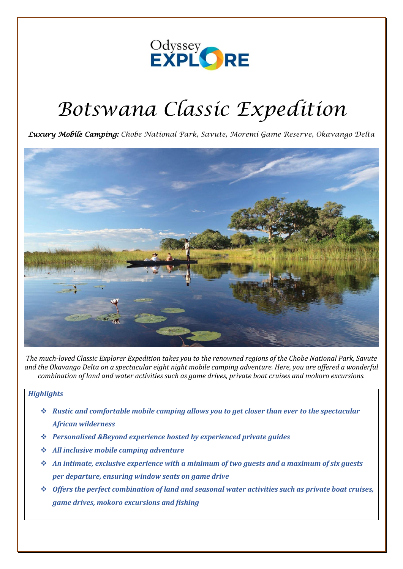

# *Botswana Classic Expedition*

*Luxury Mobile Camping: Chobe National Park, Savute, Moremi Game Reserve, Okavango Delta*



*The much-loved Classic Explorer Expedition takes you to the renowned regions of the Chobe National Park, Savute and the Okavango Delta on a spectacular eight night mobile camping adventure. Here, you are offered a wonderful combination of land and water activities such as game drives, private boat cruises and mokoro excursions.* 

### *Highlights*

- ❖ *Rustic and comfortable mobile camping allows you to get closer than ever to the spectacular African wilderness*
- ❖ *Personalised &Beyond experience hosted by experienced private guides*
- ❖ *All inclusive mobile camping adventure*
- ❖ *An intimate, exclusive experience with a minimum of two guests and a maximum of six guests per departure, ensuring window seats on game drive*
- ❖ *Offers the perfect combination of land and seasonal water activities such as private boat cruises, game drives, mokoro excursions and fishing*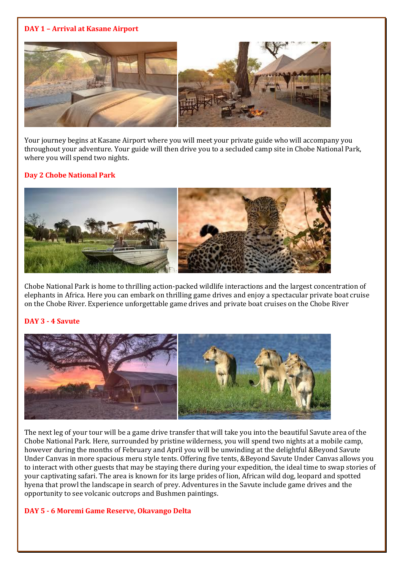# **DAY 1 – Arrival at Kasane Airport**

Your journey begins at Kasane Airport where you will meet your private guide who will accompany you throughout your adventure. Your guide will then drive you to a secluded camp site in Chobe National Park, where you will spend two nights.

### **Day 2 Chobe National Park**



Chobe National Park is home to thrilling action-packed wildlife interactions and the largest concentration of elephants in Africa. Here you can embark on thrilling game drives and enjoy a spectacular private boat cruise on the Chobe River. Experience unforgettable game drives and private boat cruises on the Chobe River

### **DAY 3 - 4 Savute**



The next leg of your tour will be a game drive transfer that will take you into the beautiful Savute area of the Chobe National Park. Here, surrounded by pristine wilderness, you will spend two nights at a mobile camp, however during the months of February and April you will be unwinding at the delightful &Beyond Savute Under Canvas in more spacious meru style tents. Offering five tents, &Beyond Savute Under Canvas allows you to interact with other guests that may be staying there during your expedition, the ideal time to swap stories of your captivating safari. The area is known for its large prides of lion, African wild dog, leopard and spotted hyena that prowl the landscape in search of prey. Adventures in the Savute include game drives and the opportunity to see volcanic outcrops and Bushmen paintings.

### **DAY 5 - 6 Moremi Game Reserve, Okavango Delta**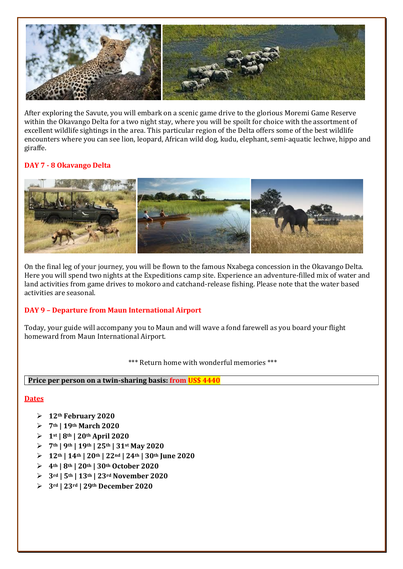

After exploring the Savute, you will embark on a scenic game drive to the glorious Moremi Game Reserve within the Okavango Delta for a two night stay, where you will be spoilt for choice with the assortment of excellent wildlife sightings in the area. This particular region of the Delta offers some of the best wildlife encounters where you can see lion, leopard, African wild dog, kudu, elephant, semi-aquatic lechwe, hippo and giraffe.

### **DAY 7 - 8 Okavango Delta**



On the final leg of your journey, you will be flown to the famous Nxabega concession in the Okavango Delta. Here you will spend two nights at the Expeditions camp site. Experience an adventure-filled mix of water and land activities from game drives to mokoro and catchand-release fishing. Please note that the water based activities are seasonal.

### **DAY 9 – Departure from Maun International Airport**

Today, your guide will accompany you to Maun and will wave a fond farewell as you board your flight homeward from Maun International Airport.

\*\*\* Return home with wonderful memories \*\*\*

**Price per person on a twin-sharing basis: from US\$ 4440**

### **Dates**

- ➢ **12th February 2020**
- ➢ **7th | 19th March 2020**
- ➢ **1st | 8th | 20th April 2020**
- ➢ **7th | 9th | 19th | 25th | 31st May 2020**
- ➢ **12th | 14th | 20th | 22nd | 24th | 30th June 2020**
- ➢ **4th | 8th | 20th | 30th October 2020**
- ➢ **3rd | 5th | 13th | 23rd November 2020**
- ➢ **3rd | 23rd | 29th December 2020**